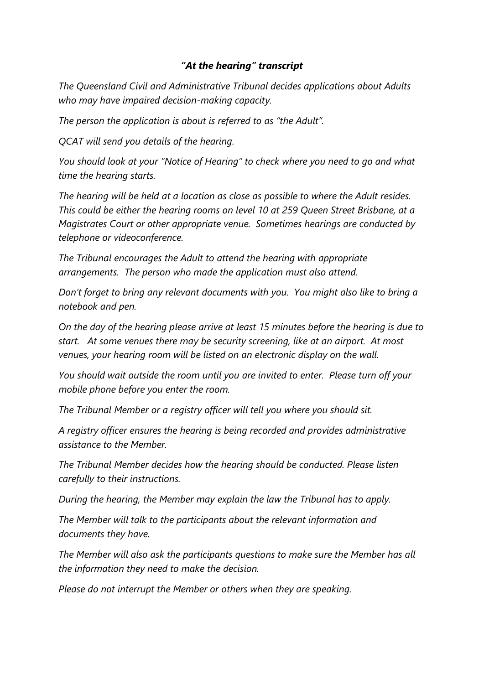## *"At the hearing" transcript*

*The Queensland Civil and Administrative Tribunal decides applications about Adults who may have impaired decision-making capacity.* 

*The person the application is about is referred to as "the Adult".* 

*QCAT will send you details of the hearing.* 

*You should look at your "Notice of Hearing" to check where you need to go and what time the hearing starts.*

*The hearing will be held at a location as close as possible to where the Adult resides. This could be either the hearing rooms on level 10 at 259 Queen Street Brisbane, at a Magistrates Court or other appropriate venue. Sometimes hearings are conducted by telephone or videoconference.*

*The Tribunal encourages the Adult to attend the hearing with appropriate arrangements. The person who made the application must also attend.*

*Don't forget to bring any relevant documents with you. You might also like to bring a notebook and pen.*

*On the day of the hearing please arrive at least 15 minutes before the hearing is due to start. At some venues there may be security screening, like at an airport. At most venues, your hearing room will be listed on an electronic display on the wall.* 

*You should wait outside the room until you are invited to enter. Please turn off your mobile phone before you enter the room.*

*The Tribunal Member or a registry officer will tell you where you should sit.* 

*A registry officer ensures the hearing is being recorded and provides administrative assistance to the Member.* 

*The Tribunal Member decides how the hearing should be conducted. Please listen carefully to their instructions.*

*During the hearing, the Member may explain the law the Tribunal has to apply.* 

*The Member will talk to the participants about the relevant information and documents they have.*

*The Member will also ask the participants questions to make sure the Member has all the information they need to make the decision.* 

*Please do not interrupt the Member or others when they are speaking.*